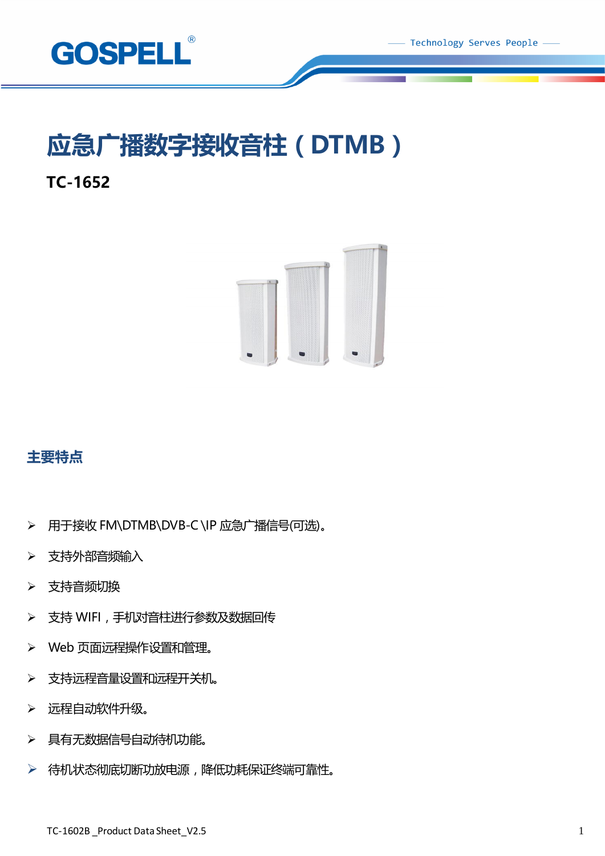

Technology Serves People -

# **应急广播数字接收音柱(DTMB)**

## **TC-1652**



## **主要特点**

- ➢ 用于接收 FM\DTMB\DVB-C \IP 应急广播信号(可选)。
- ➢ 支持外部音频输入
- ➢ 支持音频切换
- ▶ 支持 WIFI, 手机对音柱进行参数及数据回传
- ➢ Web 页面远程操作设置和管理。
- > 支持远程音量设置和远程开关机。
- ➢ 远程自动软件升级。
- > 具有无数据信号自动待机功能。
- ▶ 待机状态彻底切断功放电源,降低功耗保证终端可靠性。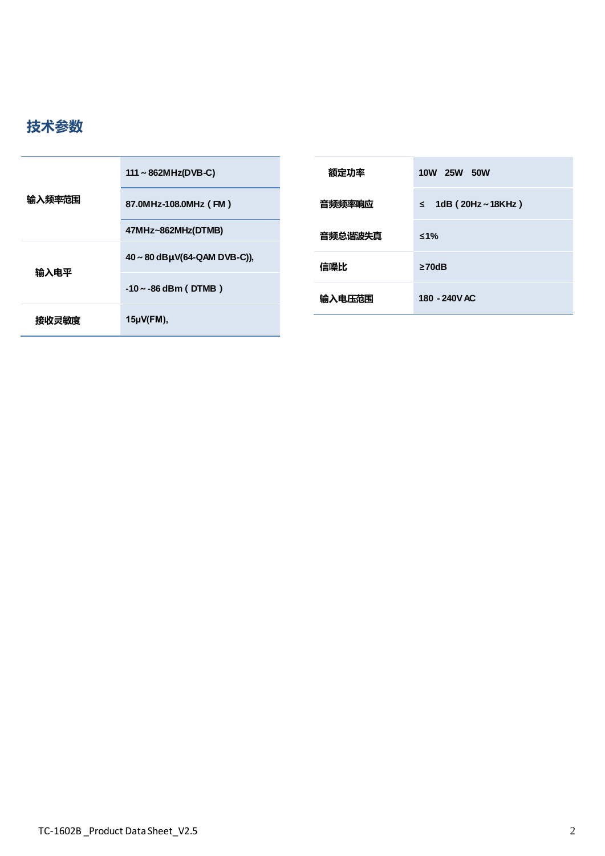

| 输入频率范围 | 111 ~ 862MHz(DVB-C)               | 额定功率    | <b>10W</b><br><b>25W 50W</b>      |
|--------|-----------------------------------|---------|-----------------------------------|
|        | 87.0MHz-108.0MHz (FM)             | 音频频率响应  | 1dB $(20Hz \sim 18KHz)$<br>$\leq$ |
| 输入电平   | 47MHz~862MHz(DTMB)                | 音频总谐波失真 | $≤1\%$                            |
|        | $40 \sim 80$ dBµV(64-QAM DVB-C)), | 信噪比     | $\geq 70$ dB                      |
|        | $-10 \sim -86$ dBm (DTMB)         | 输入电压范围  | 180 - 240V AC                     |
| 接收灵敏度  | $15\mu V(FM)$ ,                   |         |                                   |